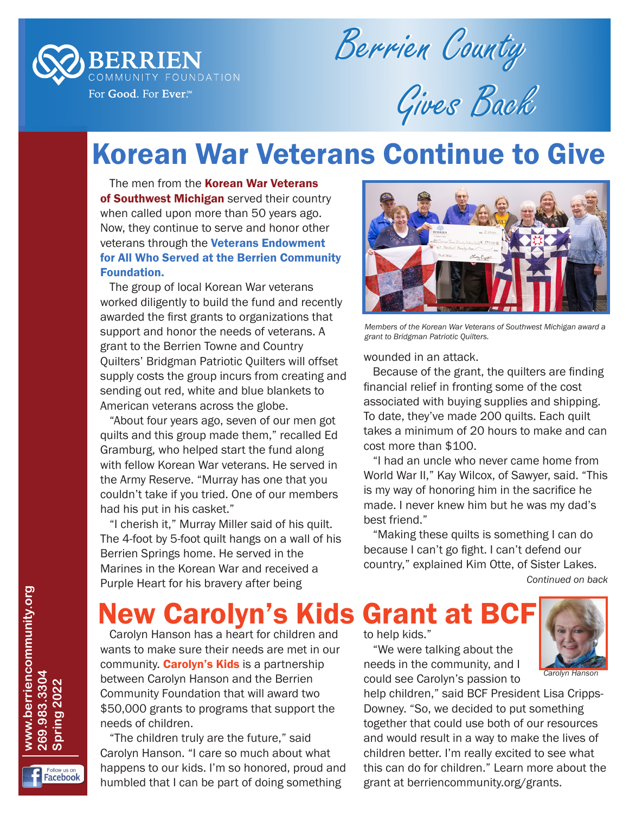

Berrien County Berrien County

 Gives Back Gives Back

# Korean War Veterans Continue to Give

The men from the Korean War Veterans of Southwest Michigan served their country when called upon more than 50 years ago. Now, they continue to serve and honor other veterans through the Veterans Endowment for All Who Served at the Berrien Community Foundation.

The group of local Korean War veterans worked diligently to build the fund and recently awarded the first grants to organizations that support and honor the needs of veterans. A grant to the Berrien Towne and Country Quilters' Bridgman Patriotic Quilters will offset supply costs the group incurs from creating and sending out red, white and blue blankets to American veterans across the globe.

"About four years ago, seven of our men got quilts and this group made them," recalled Ed Gramburg, who helped start the fund along with fellow Korean War veterans. He served in the Army Reserve. "Murray has one that you couldn't take if you tried. One of our members had his put in his casket."

"I cherish it," Murray Miller said of his quilt. The 4-foot by 5-foot quilt hangs on a wall of his Berrien Springs home. He served in the Marines in the Korean War and received a Purple Heart for his bravery after being



*Members of the Korean War Veterans of Southwest Michigan award a grant to Bridgman Patriotic Quilters.*

wounded in an attack.

Because of the grant, the quilters are finding financial relief in fronting some of the cost associated with buying supplies and shipping. To date, they've made 200 quilts. Each quilt takes a minimum of 20 hours to make and can cost more than \$100.

"I had an uncle who never came home from World War II," Kay Wilcox, of Sawyer, said. "This is my way of honoring him in the sacrifice he made. I never knew him but he was my dad's best friend."

"Making these quilts is something I can do because I can't go fight. I can't defend our country," explained Kim Otte, of Sister Lakes.

*Continued on back*

# New Carolyn's Kids Grant at BCF

Carolyn Hanson has a heart for children and wants to make sure their needs are met in our community. **Carolyn's Kids** is a partnership between Carolyn Hanson and the Berrien Community Foundation that will award two \$50,000 grants to programs that support the needs of children.

"The children truly are the future," said Carolyn Hanson. "I care so much about what happens to our kids. I'm so honored, proud and humbled that I can be part of doing something

to help kids."

"We were talking about the needs in the community, and I could see Carolyn's passion to



*Carolyn Hanson*

help children," said BCF President Lisa Cripps-Downey. "So, we decided to put something together that could use both of our resources and would result in a way to make the lives of children better. I'm really excited to see what this can do for children." Learn more about the grant at berriencommunity.org/grants.

Follow us on<br>**Facebook**